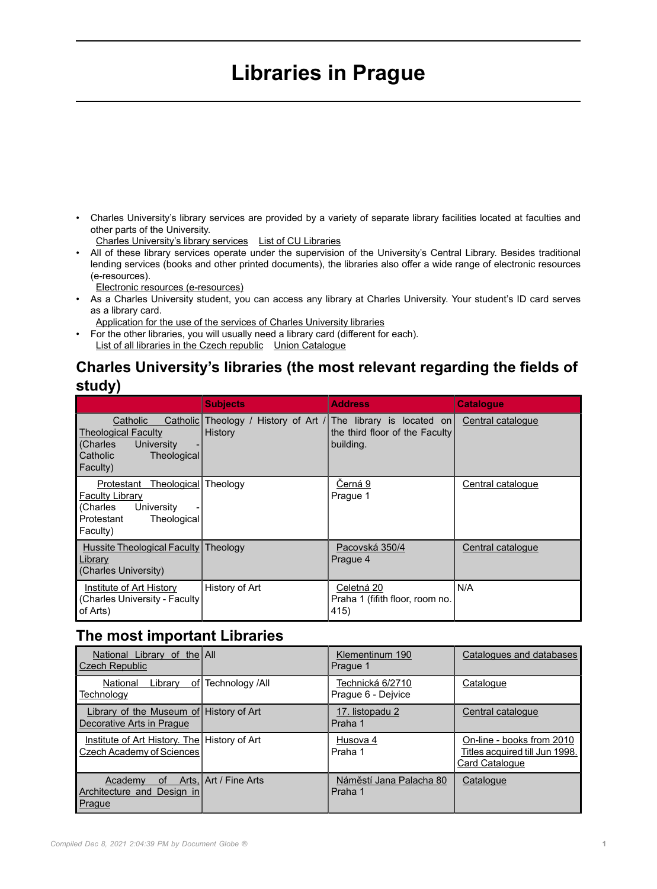## **Libraries in Prague**

• Charles University's library services are provided by a variety of separate library facilities located at faculties and other parts of the University.

[Charles University's library services](https://cuni.cz/UKEN-219.html) [List of CU Libraries](https://www.cuni.cz/UKEN-220.html)

• All of these library services operate under the supervision of the University's Central Library. Besides traditional lending services (books and other printed documents), the libraries also offer a wide range of electronic resources (e-resources).

[Electronic resources \(e-resources\)](https://library.cuni.cz/information-resources/)

- As a Charles University student, you can access any library at Charles University. Your student's ID card serves as a library card.
	- [Application for the use of the services of Charles University libraries](https://library.cuni.cz/electronic-application-for-the-use-of-the-services-of-charles-university-libraries/)
- For the other libraries, you will usually need a library card (different for each). [List of all libraries in the Czech republic](https://www.caslin.cz/caslin-en) [Union Catalogue](http://new.caslin.cz/caslin-en/)

## **Charles University's libraries (the most relevant regarding the fields of study)**

|                                                                                                                                   | <b>Subjects</b> | <b>Address</b>                                                                                       | <b>Catalogue</b>  |
|-----------------------------------------------------------------------------------------------------------------------------------|-----------------|------------------------------------------------------------------------------------------------------|-------------------|
| Catholic<br>Catholic <sup>[1</sup><br><b>Theological Faculty</b><br>University<br>(Charles<br>Catholic<br>Theological<br>Faculty) | History         | Theology / History of Art / The library is located on<br>the third floor of the Faculty<br>building. | Central catalogue |
| Theological<br>Protestant<br><b>Faculty Library</b><br>University<br>(Charles<br>Protestant<br>Theological<br>Faculty)            | Theology        | Černá 9<br>Prague 1                                                                                  | Central catalogue |
| Hussite Theological Faculty<br>Library<br>(Charles University)                                                                    | Theology        | Pacovská 350/4<br>Prague 4                                                                           | Central catalogue |
| <b>Institute of Art History</b><br>(Charles University - Faculty)<br>of Arts)                                                     | History of Art  | Celetná 20<br>Praha 1 (fifith floor, room no.<br>415)                                                | N/A               |

## **The most important Libraries**

| National Library of the All<br><b>Czech Republic</b>                        |                         | Klementinum 190<br>Prague 1            | Catalogues and databases                                                             |
|-----------------------------------------------------------------------------|-------------------------|----------------------------------------|--------------------------------------------------------------------------------------|
| Library<br>National<br>оf<br>Technology                                     | Technology /All         | Technická 6/2710<br>Prague 6 - Dejvice | Catalogue                                                                            |
| Library of the Museum of History of Art<br>Decorative Arts in Prague        |                         | 17. listopadu 2<br>Praha 1             | Central catalogue                                                                    |
| Institute of Art History. The   History of Art<br>Czech Academy of Sciences |                         | Husova 4<br>Praha 1                    | On-line - books from 2010<br>Titles acquired till Jun 1998.<br><b>Card Catalogue</b> |
| Arts,<br>Academy<br>0f<br>Architecture and Design in<br>Prague              | <b>LArt / Fine Arts</b> | Náměstí Jana Palacha 80<br>Praha 1     | Catalogue                                                                            |